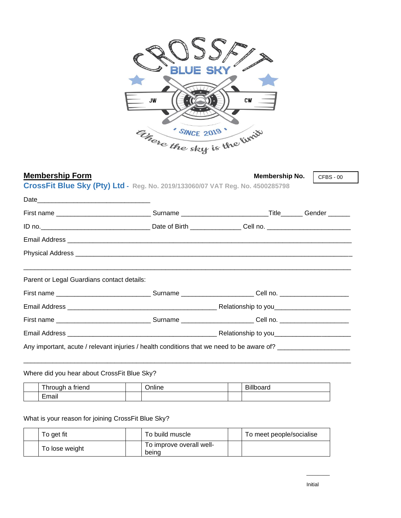

## **Membership Form**<br> **Membership No. Membership No.**

CFBS - 00

**CrossFit Blue Sky (Pty) Ltd - Reg. No. 2019/133060/07 VAT Reg. No. 4500285798**

| First name ___________________________________Surname ________________________________Title________ Gender _______                                                                                                                   |  |  |
|--------------------------------------------------------------------------------------------------------------------------------------------------------------------------------------------------------------------------------------|--|--|
|                                                                                                                                                                                                                                      |  |  |
|                                                                                                                                                                                                                                      |  |  |
| Physical Address <b>contract to the contract of the contract of the contract of the contract of the contract of the contract of the contract of the contract of the contract of the contract of the contract of the contract of </b> |  |  |
|                                                                                                                                                                                                                                      |  |  |
| Parent or Legal Guardians contact details:                                                                                                                                                                                           |  |  |
|                                                                                                                                                                                                                                      |  |  |
|                                                                                                                                                                                                                                      |  |  |
|                                                                                                                                                                                                                                      |  |  |
|                                                                                                                                                                                                                                      |  |  |
| Any important, acute / relevant injuries / health conditions that we need to be aware of?                                                                                                                                            |  |  |

\_\_\_\_\_\_\_\_\_\_\_\_\_\_\_\_\_\_\_\_\_\_\_\_\_\_\_\_\_\_\_\_\_\_\_\_\_\_\_\_\_\_\_\_\_\_\_\_\_\_\_\_\_\_\_\_\_\_\_\_\_\_\_\_\_\_\_\_\_\_\_\_\_\_\_\_\_\_\_\_\_\_\_\_\_\_\_\_\_\_

Where did you hear about CrossFit Blue Sky?

| $-1$<br>triend<br>hrough                  | <br>$\cdots$<br>nine | $-111$<br>---<br><b>DIIIDUAIU</b> |
|-------------------------------------------|----------------------|-----------------------------------|
| $\overline{\phantom{0}}$<br>Emoi'<br>LШан |                      |                                   |

### What is your reason for joining CrossFit Blue Sky?

| To get fit     | To build muscle                   | To meet people/socialise |
|----------------|-----------------------------------|--------------------------|
| To lose weight | To improve overall well-<br>beina |                          |

 $\overline{\phantom{a}}$